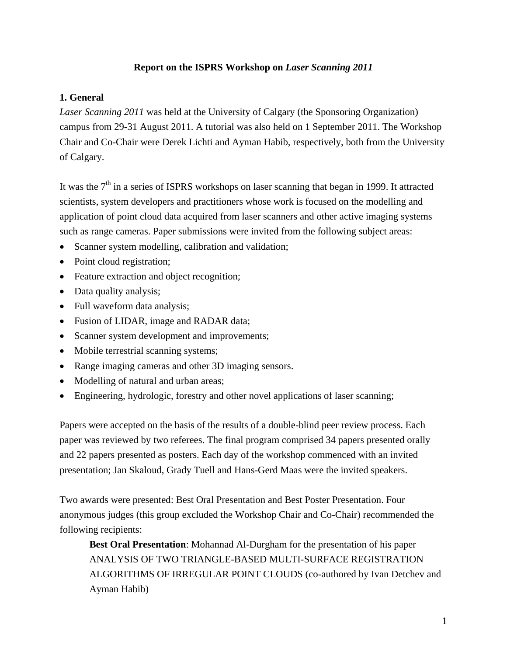## **Report on the ISPRS Workshop on** *Laser Scanning 2011*

### **1. General**

*Laser Scanning 2011* was held at the University of Calgary (the Sponsoring Organization) campus from 29-31 August 2011. A tutorial was also held on 1 September 2011. The Workshop Chair and Co-Chair were Derek Lichti and Ayman Habib, respectively, both from the University of Calgary.

It was the  $7<sup>th</sup>$  in a series of ISPRS workshops on laser scanning that began in 1999. It attracted scientists, system developers and practitioners whose work is focused on the modelling and application of point cloud data acquired from laser scanners and other active imaging systems such as range cameras. Paper submissions were invited from the following subject areas:

- Scanner system modelling, calibration and validation;
- Point cloud registration;
- Feature extraction and object recognition;
- Data quality analysis;
- Full waveform data analysis;
- Fusion of LIDAR, image and RADAR data;
- Scanner system development and improvements;
- Mobile terrestrial scanning systems;
- Range imaging cameras and other 3D imaging sensors.
- Modelling of natural and urban areas;
- Engineering, hydrologic, forestry and other novel applications of laser scanning;

Papers were accepted on the basis of the results of a double-blind peer review process. Each paper was reviewed by two referees. The final program comprised 34 papers presented orally and 22 papers presented as posters. Each day of the workshop commenced with an invited presentation; Jan Skaloud, Grady Tuell and Hans-Gerd Maas were the invited speakers.

Two awards were presented: Best Oral Presentation and Best Poster Presentation. Four anonymous judges (this group excluded the Workshop Chair and Co-Chair) recommended the following recipients:

**Best Oral Presentation**: Mohannad Al-Durgham for the presentation of his paper ANALYSIS OF TWO TRIANGLE-BASED MULTI-SURFACE REGISTRATION ALGORITHMS OF IRREGULAR POINT CLOUDS (co-authored by Ivan Detchev and Ayman Habib)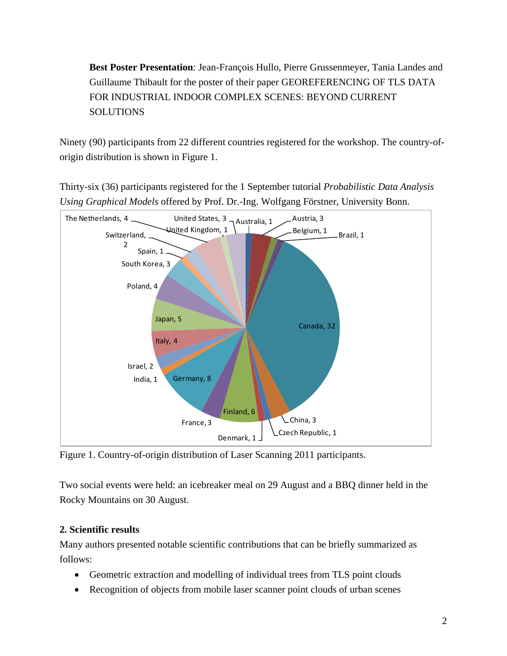**Best Poster Presentation**: Jean-François Hullo, Pierre Grussenmeyer, Tania Landes and Guillaume Thibault for the poster of their paper GEOREFERENCING OF TLS DATA FOR INDUSTRIAL INDOOR COMPLEX SCENES: BEYOND CURRENT **SOLUTIONS** 

Ninety (90) participants from 22 different countries registered for the workshop. The country-oforigin distribution is shown in Figure 1.

Thirty-six (36) participants registered for the 1 September tutorial *Probabilistic Data Analysis Using Graphical Models* offered by Prof. Dr.-Ing. Wolfgang Förstner, University Bonn.



Figure 1. Country-of-origin distribution of Laser Scanning 2011 participants.

Two social events were held: an icebreaker meal on 29 August and a BBQ dinner held in the Rocky Mountains on 30 August.

### **2. Scientific results**

Many authors presented notable scientific contributions that can be briefly summarized as follows:

- Geometric extraction and modelling of individual trees from TLS point clouds
- Recognition of objects from mobile laser scanner point clouds of urban scenes